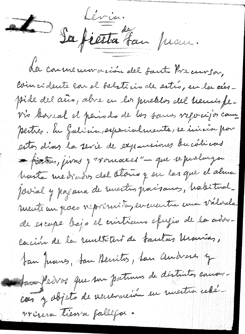Levia.<br>La fiesta far prom. de courrienemacion del santo Preciorson, loin cidente car el belsticio de estró, en la cúspide del año, abre en los pueblos del tiencis fevia barreal el períods de los samos referaijos cam pertres. In falicia, especialmente, se inicia por estos dias la serie de expansiones bucílicas -fiction, juras y "vouvalles" - que se puelunga hasta mediados del Otono y en las que el ahua povial y pagana de rinestros paisanos, habitual\_ mente un paco reprimita, en cuentra una valvala de escape bajo el cristiano efujo de la advocación de la runttitur de fautas Uranias, tan fromes, tan Aerrites, tan audrese of Sava Pervos que sur patinus de distintas causarcour y objets de veneración en unestra celevrczna tiena fallefa.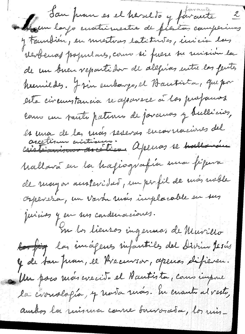San pour es el heraldo y forante 2 y tounbien, en mestras latitudes, incicion las revolution propintares, como si fuere su unicon la de un binen repartidor de alegrías entre las ferits humildes. J'ain embargo, el Bautista, que por esta circumtancia se aparece à los profouros cours un tanto pations de jouanas y bulliars, les ma de la mois severas encouraciones del Mallava en la hagiografía una figura de mayor austeridad, un perfil de mas meble Orpevera, un vavon ruas implacable en sus Juicios y en sus condenaciones. Su la lieuros ingenaos de Muvillo <del>les fig</del> la incipens infantiles del Divino Jesús y de tan prom, el Precursor, apenas difieren. Un poco mois crecito el Hautista, como impone la civradofía, y rava ruas. En cuanto al vesto, aurbos la misma come fauvorada, los mis-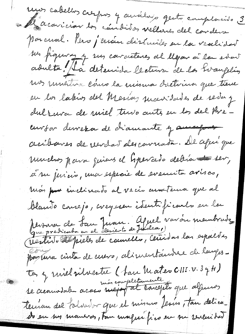mos cabellos creipos y audidos queto complació 3 le aconicion tos céndisos velleres del condense parcual. Pero j'ensui disimiles su la veselidat sur figuras y sur correcteres al llegar à la ever adulta / La déternida lectura de la Evangelia un muestra cano la minua doctrina que tiene en la labios del Merias mavidades de seda y dulzura de miel turs autes en las del Preeurson dervezor de diamante y ausosport accibances de verdar des courata. De afui que muchos para quiens el Grevado debía 1 ser, à su juricio, ma especie de evenuita avisco, mois pour inclinado al vecio anostena que al blante course jo, creyesen identificants en la Monse de fau Juan. Africa vavoir membrade, pour terra cinta de cuevo, alimentambre de langes. ta, y mil silvestre (fan Mateo CIII. v. 3 y H) réncompletamente que algunos terrion del folvador que el mismo Jesús, tan delica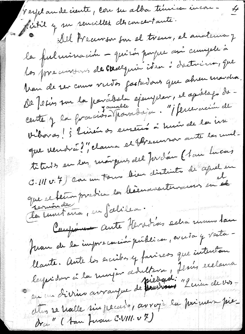texplande ciente, con su alba tímica incon- $\cancel{t}$ fit it y un renciller des concertants. Del Preciorson fou el treus, el anotenca y la fulrainación - quirós paque ani cumple à las procursons de courequir iden i dretnina, que Man de ser comme verses fastardons que abren marcha. De Jesin sur la parabola ejemplar, et aprélogo decente y la formaissatfranchaja. "¡ ferrevain de biboras! ¿ linen os euseus à hum de la na que vendrat?", claima et ffreuenner aute la multetres en eur moispeur du forden (1 an Lucas C. VII v. 7) car un tour dieu distints de aprèles que ce ferminaire en bienaventemains en el la turitaire, en fabiles. Comparent aute Heradias eclia maur lau fuon de la imprecación publica, cruda y vata llaute. Aute les excribes y farises que intentan leptider à la rinjoin d'Intera, Jenis exclaira Ation se hable sin pecude, avrois la primer pie dra " (1 an Firan C.VIII. v 7)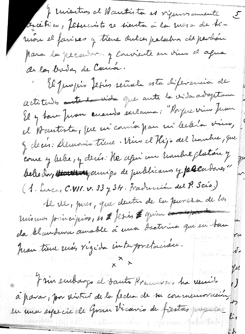I revention el Mautista es viguros amente 5 Orcetico, fericinto se sienta á la mera de tiuvoir el farises y tiene dulces palabros de perdon para la pécador y convinte en vius el aqua de la boda de Cama. El Jusepio tesis señala esta diferencia de actitudes autemais que aute la vida adoptam El y tou pron enoudo exclaima: "Porque vien prou el Wantista, que mi conside pan mi leclera vino, J clear: Demonis tiene. Vius el Hijo del hombre, que course y belse, y décés: He apris un troubre plation y belle day there is annigo de publicanos y procurares " (1. Lucas C.VII. v. 33 y 34. Fraducción del P. Scío.) 1e ve, pues, que dentre de la puresa de los mismos principios, es Efesis Egnien et posses da blandina amable à mia doctrina qui en tour Yu pron tiene mas régida interpretacion. ہ لہ frin embargo el santo Precivos ha necesso  $\sqrt{ }$ à parar, pour vivotrer de la fecha de su commenceración en una especie de Gran Vicario de fiestas prepuede  $\mathcal{L}$ e غ مي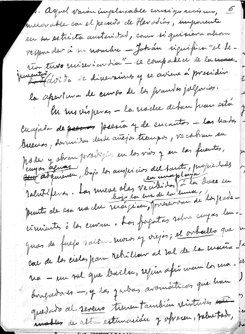1. Agnel varou implacable cousigo mismo, 6 merorable con el pecoció de Herodias, imporente en su estricta austeridad, como si quisiera alion reffer der å su nombre - Johan significa "el derion tuvo miseriardia" - le compasse de la masse.<br>Musultat de dinevaisse y se aviene à president la apartement de ceuvre de las procedes julgaries. Me mois peros - la modre deban promotor Cuajada de presents presion y de encantres - las hadas bueiros, dominidas desde antijos tiempos, ve cabren su horder y abran paradigios en los vivs y en las fuentes, Valutifers. La mere olas vecibides (à la diece en circulates à las cuvan. Los forgatas salve cuyas leuquas de fue paltan mois y viejos; el orballo que a car de la cielas para retrillar al me de la maria - l'e ma - un sol que baila, refin afin man los ma- $\frac{\omega}{\omega}$ dougationes -, y las yentres avoinations que han quedado al seveno tienen también vivitudes este water de alte estimación y oprecen, nelue todo,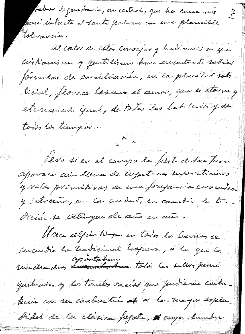fabor legendario, ancestral, que ha causa vado  $\boldsymbol{z}$ sceri intacto el tanto pativno con una placesible tolerancia. Al calor de estas consejas y tradiciones en que aistiques un y quitilisme han encontrato rabias formulas de comiliación, en la planitur sobtienel, florece los aux el aunos, que es eterno y eternament épial, de todas las latitudes y de todos los tiempos.  $x^2$ Pero si en el campo la fierta de san Tusse aparece aun lleur de sugestivas supersticiones y vitos primitivos de una prajancia errocadas y extraina, en la ciudad, en cambio la tur-Orcin se estingue de aux en aus. Mace algun timps en todos la barrios se encendia la tradicional hopiera, à la que la quebrados y los torieles vacías que puederan cantubuin can ser combination of a la recogno esplen Dides de la clasica forzata, i cuya lumbre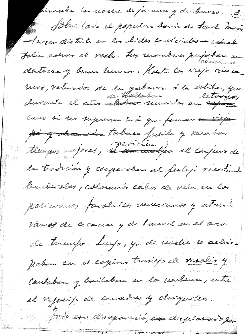pincaba la noche de jarrera y de bureo. S Solve todo el populoro benin de Santo Donão - tercer distrito en las lides considéra esta John estrar el vesto. Las mandares pujaban en destreza y buen humor. Hasta los viejos cinco mos, retirados de la gabarra ó la estiba, que Cours si ses supieron más que femmen su vierpe po y demander tabaco fuente y vecardar tiempos mejores, <del>se aminalpa</del> al conjun de la tradición y cooperation de festejo vecatante bauberslees, coloraint cabo de vela en los policiones paralillos venecianos y atourdo Vanos de cecacion y de taurel en el avec de triempo. Luego, ya de modre se acluispaban con el copion transpo de verolio y Cantaban y bailaban en la renbena, entre et reports de comadres y chiquites. fordo eso desapareció, en desplatado por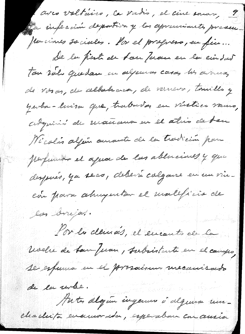avec voltaires, la vadis, el cine sourre, 9 le infección deportiva y las aprendantes presen flerciones sociales. Por el progreso, en fin... De la fierte de ban Juan en la cindad Ton volo que dan un algunas casas los arrivas de vosas, de albelevia, de vernero, tomillo y yerba-luisa que, trabavar en vistico vauxo, adquins de mansus en el atris de tan Nicolas algún aurante de la tradición para perfumar el aqua de las abluciones y que después, ya seco, debení colgane en un vincon para alunquitar el maleficio de les brijes. Por la démais, il encontrado la Uvelie de Lan Juan, subsistante en el campo, se espana en el prosainen urecanisado de la urbe. Antes algún ingenus ó alguna umchachita encurrada, esperaban con ausia